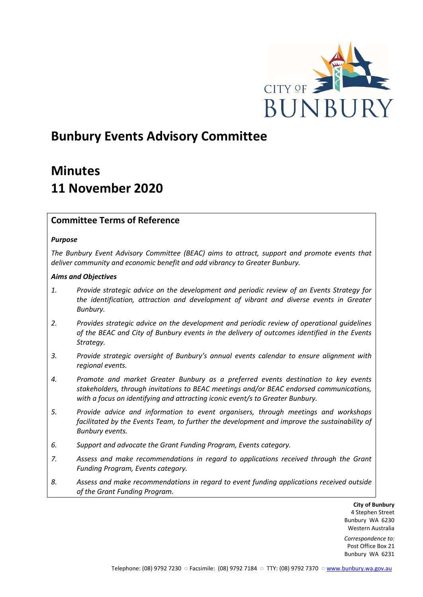

# **Bunbury Events Advisory Committee**

# **Minutes 11 November 2020**

## **Committee Terms of Reference**

## *Purpose*

*The Bunbury Event Advisory Committee (BEAC) aims to attract, support and promote events that deliver community and economic benefit and add vibrancy to Greater Bunbury.*

## *Aims and Objectives*

- *1. Provide strategic advice on the development and periodic review of an Events Strategy for the identification, attraction and development of vibrant and diverse events in Greater Bunbury.*
- *2. Provides strategic advice on the development and periodic review of operational guidelines of the BEAC and City of Bunbury events in the delivery of outcomes identified in the Events Strategy.*
- *3. Provide strategic oversight of Bunbury's annual events calendar to ensure alignment with regional events.*
- *4. Promote and market Greater Bunbury as a preferred events destination to key events stakeholders, through invitations to BEAC meetings and/or BEAC endorsed communications, with a focus on identifying and attracting iconic event/s to Greater Bunbury.*
- *5. Provide advice and information to event organisers, through meetings and workshops*  facilitated by the Events Team, to further the development and improve the sustainability of *Bunbury events.*
- *6. Support and advocate the Grant Funding Program, Events category.*
- *7. Assess and make recommendations in regard to applications received through the Grant Funding Program, Events category.*
- *8. Assess and make recommendations in regard to event funding applications received outside of the Grant Funding Program.*

**City of Bunbury** 4 Stephen Street Bunbury WA 6230 Western Australia

*Correspondence to:* Post Office Box 21 Bunbury WA 6231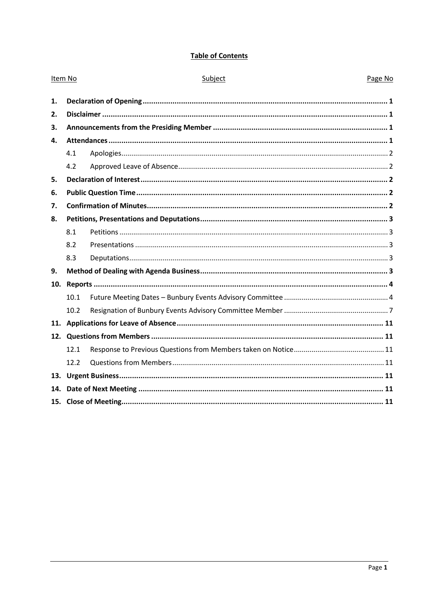## **Table of Contents**

| Item No |      | Subject | Page No |
|---------|------|---------|---------|
| 1.      |      |         |         |
| 2.      |      |         |         |
| 3.      |      |         |         |
| 4.      |      |         |         |
|         | 4.1  |         |         |
|         | 4.2  |         |         |
| 5.      |      |         |         |
| 6.      |      |         |         |
| 7.      |      |         |         |
| 8.      |      |         |         |
|         | 8.1  |         |         |
|         | 8.2  |         |         |
|         | 8.3  |         |         |
| 9.      |      |         |         |
| 10.     |      |         |         |
|         | 10.1 |         |         |
|         | 10.2 |         |         |
|         |      |         |         |
|         |      |         |         |
|         | 12.1 |         |         |
|         | 12.2 |         |         |
|         |      |         |         |
|         |      |         |         |
|         |      |         |         |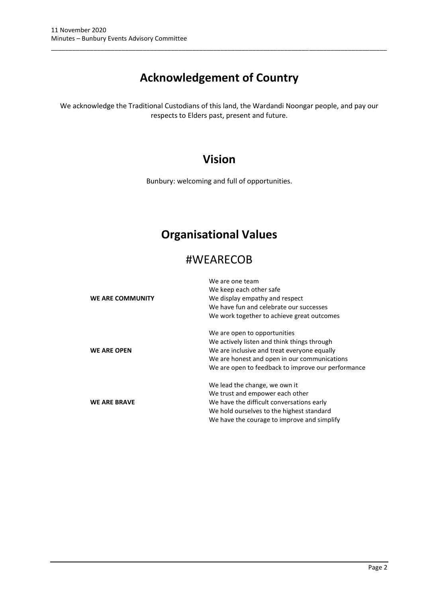# **Acknowledgement of Country**

\_\_\_\_\_\_\_\_\_\_\_\_\_\_\_\_\_\_\_\_\_\_\_\_\_\_\_\_\_\_\_\_\_\_\_\_\_\_\_\_\_\_\_\_\_\_\_\_\_\_\_\_\_\_\_\_\_\_\_\_\_\_\_\_\_\_\_\_\_\_\_\_\_\_\_\_\_\_\_\_\_\_\_\_\_\_\_\_\_\_\_\_\_\_\_

We acknowledge the Traditional Custodians of this land, the Wardandi Noongar people, and pay our respects to Elders past, present and future.

## **Vision**

Bunbury: welcoming and full of opportunities.

## **Organisational Values**

## #WEARECOB

|                         | We are one team                                    |
|-------------------------|----------------------------------------------------|
|                         | We keep each other safe                            |
| <b>WE ARE COMMUNITY</b> | We display empathy and respect                     |
|                         | We have fun and celebrate our successes            |
|                         | We work together to achieve great outcomes         |
|                         | We are open to opportunities                       |
|                         | We actively listen and think things through        |
| <b>WE ARE OPEN</b>      | We are inclusive and treat everyone equally        |
|                         | We are honest and open in our communications       |
|                         | We are open to feedback to improve our performance |
|                         | We lead the change, we own it                      |
|                         | We trust and empower each other                    |
| <b>WE ARE BRAVE</b>     | We have the difficult conversations early          |
|                         | We hold ourselves to the highest standard          |
|                         | We have the courage to improve and simplify        |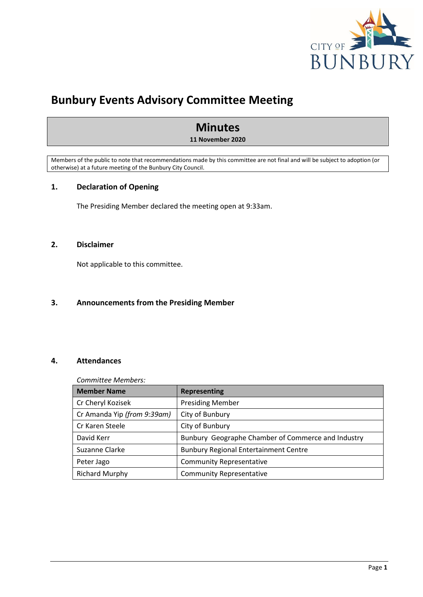

## **Bunbury Events Advisory Committee Meeting**

## **Minutes**

**11 November 2020**

Members of the public to note that recommendations made by this committee are not final and will be subject to adoption (or otherwise) at a future meeting of the Bunbury City Council.

## <span id="page-3-0"></span>**1. Declaration of Opening**

The Presiding Member declared the meeting open at 9:33am.

## <span id="page-3-1"></span>**2. Disclaimer**

Not applicable to this committee.

## <span id="page-3-2"></span>**3. Announcements from the Presiding Member**

## <span id="page-3-3"></span>**4. Attendances**

#### *Committee Members:*

| <b>Member Name</b>          | <b>Representing</b>                                |
|-----------------------------|----------------------------------------------------|
| Cr Cheryl Kozisek           | <b>Presiding Member</b>                            |
| Cr Amanda Yip (from 9:39am) | City of Bunbury                                    |
| Cr Karen Steele             | City of Bunbury                                    |
| David Kerr                  | Bunbury Geographe Chamber of Commerce and Industry |
| Suzanne Clarke              | <b>Bunbury Regional Entertainment Centre</b>       |
| Peter Jago                  | <b>Community Representative</b>                    |
| <b>Richard Murphy</b>       | <b>Community Representative</b>                    |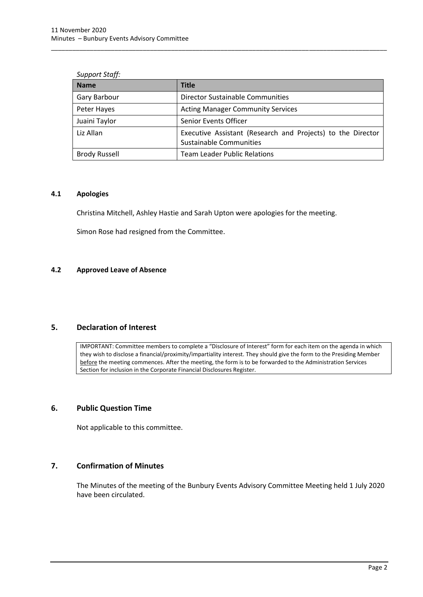| <b>Name</b>          | <b>Title</b>                                                                                  |
|----------------------|-----------------------------------------------------------------------------------------------|
| Gary Barbour         | Director Sustainable Communities                                                              |
| Peter Hayes          | <b>Acting Manager Community Services</b>                                                      |
| Juaini Taylor        | Senior Events Officer                                                                         |
| Liz Allan            | Executive Assistant (Research and Projects) to the Director<br><b>Sustainable Communities</b> |
| <b>Brody Russell</b> | <b>Team Leader Public Relations</b>                                                           |

\_\_\_\_\_\_\_\_\_\_\_\_\_\_\_\_\_\_\_\_\_\_\_\_\_\_\_\_\_\_\_\_\_\_\_\_\_\_\_\_\_\_\_\_\_\_\_\_\_\_\_\_\_\_\_\_\_\_\_\_\_\_\_\_\_\_\_\_\_\_\_\_\_\_\_\_\_\_\_\_\_\_\_\_\_\_\_\_\_\_\_\_\_\_\_

## *Support Staff:*

## <span id="page-4-0"></span>**4.1 Apologies**

Christina Mitchell, Ashley Hastie and Sarah Upton were apologies for the meeting.

Simon Rose had resigned from the Committee.

### <span id="page-4-1"></span>**4.2 Approved Leave of Absence**

## <span id="page-4-2"></span>**5. Declaration of Interest**

IMPORTANT: Committee members to complete a "Disclosure of Interest" form for each item on the agenda in which they wish to disclose a financial/proximity/impartiality interest. They should give the form to the Presiding Member before the meeting commences. After the meeting, the form is to be forwarded to the Administration Services Section for inclusion in the Corporate Financial Disclosures Register.

## <span id="page-4-3"></span>**6. Public Question Time**

Not applicable to this committee.

## <span id="page-4-4"></span>**7. Confirmation of Minutes**

The Minutes of the meeting of the Bunbury Events Advisory Committee Meeting held 1 July 2020 have been circulated.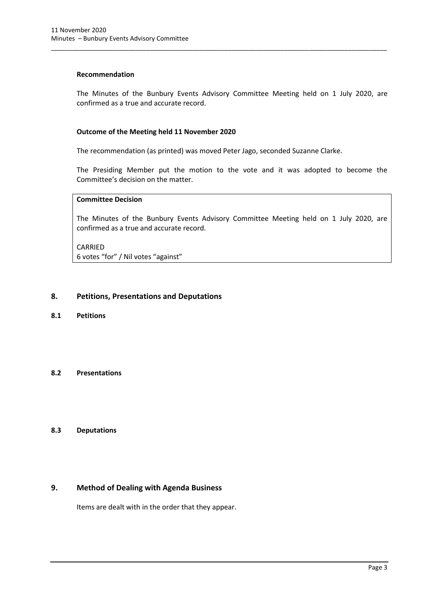#### **Recommendation**

The Minutes of the Bunbury Events Advisory Committee Meeting held on 1 July 2020, are confirmed as a true and accurate record.

\_\_\_\_\_\_\_\_\_\_\_\_\_\_\_\_\_\_\_\_\_\_\_\_\_\_\_\_\_\_\_\_\_\_\_\_\_\_\_\_\_\_\_\_\_\_\_\_\_\_\_\_\_\_\_\_\_\_\_\_\_\_\_\_\_\_\_\_\_\_\_\_\_\_\_\_\_\_\_\_\_\_\_\_\_\_\_\_\_\_\_\_\_\_\_

### **Outcome of the Meeting held 11 November 2020**

The recommendation (as printed) was moved Peter Jago, seconded Suzanne Clarke.

The Presiding Member put the motion to the vote and it was adopted to become the Committee's decision on the matter.

## **Committee Decision**

The Minutes of the Bunbury Events Advisory Committee Meeting held on 1 July 2020, are confirmed as a true and accurate record.

CARRIED 6 votes "for" / Nil votes "against"

#### <span id="page-5-0"></span>**8. Petitions, Presentations and Deputations**

<span id="page-5-1"></span>**8.1 Petitions**

### <span id="page-5-2"></span>**8.2 Presentations**

### <span id="page-5-3"></span>**8.3 Deputations**

### <span id="page-5-4"></span>**9. Method of Dealing with Agenda Business**

Items are dealt with in the order that they appear.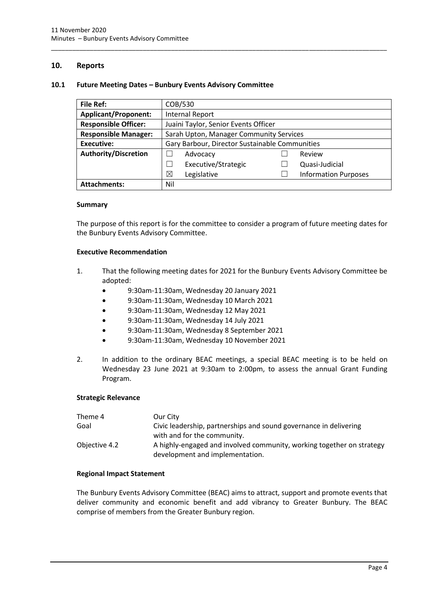## <span id="page-6-0"></span>**10. Reports**

#### <span id="page-6-1"></span>**10.1 Future Meeting Dates – Bunbury Events Advisory Committee**

| <b>File Ref:</b>            | COB/530                                        |  |                             |
|-----------------------------|------------------------------------------------|--|-----------------------------|
| <b>Applicant/Proponent:</b> | <b>Internal Report</b>                         |  |                             |
| <b>Responsible Officer:</b> | Juaini Taylor, Senior Events Officer           |  |                             |
| <b>Responsible Manager:</b> | Sarah Upton, Manager Community Services        |  |                             |
| <b>Executive:</b>           | Gary Barbour, Director Sustainable Communities |  |                             |
| <b>Authority/Discretion</b> | Advocacy                                       |  | Review                      |
|                             | Executive/Strategic                            |  | Quasi-Judicial              |
|                             | ⊠<br>Legislative                               |  | <b>Information Purposes</b> |
| <b>Attachments:</b>         | Nil                                            |  |                             |

\_\_\_\_\_\_\_\_\_\_\_\_\_\_\_\_\_\_\_\_\_\_\_\_\_\_\_\_\_\_\_\_\_\_\_\_\_\_\_\_\_\_\_\_\_\_\_\_\_\_\_\_\_\_\_\_\_\_\_\_\_\_\_\_\_\_\_\_\_\_\_\_\_\_\_\_\_\_\_\_\_\_\_\_\_\_\_\_\_\_\_\_\_\_\_

#### **Summary**

The purpose of this report is for the committee to consider a program of future meeting dates for the Bunbury Events Advisory Committee.

#### **Executive Recommendation**

- 1. That the following meeting dates for 2021 for the Bunbury Events Advisory Committee be adopted:
	- 9:30am-11:30am, Wednesday 20 January 2021
	- 9:30am-11:30am, Wednesday 10 March 2021
	- 9:30am-11:30am, Wednesday 12 May 2021
	- 9:30am-11:30am, Wednesday 14 July 2021
	- 9:30am-11:30am, Wednesday 8 September 2021
	- 9:30am-11:30am, Wednesday 10 November 2021
- 2. In addition to the ordinary BEAC meetings, a special BEAC meeting is to be held on Wednesday 23 June 2021 at 9:30am to 2:00pm, to assess the annual Grant Funding Program.

#### **Strategic Relevance**

| Theme 4       | Our City                                                                                                 |
|---------------|----------------------------------------------------------------------------------------------------------|
| Goal          | Civic leadership, partnerships and sound governance in delivering                                        |
|               | with and for the community.                                                                              |
| Objective 4.2 | A highly-engaged and involved community, working together on strategy<br>development and implementation. |

#### **Regional Impact Statement**

The Bunbury Events Advisory Committee (BEAC) aims to attract, support and promote events that deliver community and economic benefit and add vibrancy to Greater Bunbury. The BEAC comprise of members from the Greater Bunbury region.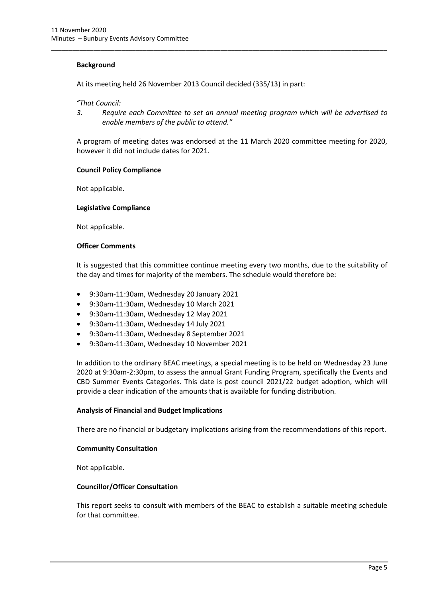#### **Background**

At its meeting held 26 November 2013 Council decided (335/13) in part:

*"That Council:*

*3. Require each Committee to set an annual meeting program which will be advertised to enable members of the public to attend."*

\_\_\_\_\_\_\_\_\_\_\_\_\_\_\_\_\_\_\_\_\_\_\_\_\_\_\_\_\_\_\_\_\_\_\_\_\_\_\_\_\_\_\_\_\_\_\_\_\_\_\_\_\_\_\_\_\_\_\_\_\_\_\_\_\_\_\_\_\_\_\_\_\_\_\_\_\_\_\_\_\_\_\_\_\_\_\_\_\_\_\_\_\_\_\_

A program of meeting dates was endorsed at the 11 March 2020 committee meeting for 2020, however it did not include dates for 2021.

#### **Council Policy Compliance**

Not applicable.

#### **Legislative Compliance**

Not applicable.

#### **Officer Comments**

It is suggested that this committee continue meeting every two months, due to the suitability of the day and times for majority of the members. The schedule would therefore be:

- 9:30am-11:30am, Wednesday 20 January 2021
- 9:30am-11:30am, Wednesday 10 March 2021
- 9:30am-11:30am, Wednesday 12 May 2021
- 9:30am-11:30am, Wednesday 14 July 2021
- 9:30am-11:30am, Wednesday 8 September 2021
- 9:30am-11:30am, Wednesday 10 November 2021

In addition to the ordinary BEAC meetings, a special meeting is to be held on Wednesday 23 June 2020 at 9:30am-2:30pm, to assess the annual Grant Funding Program, specifically the Events and CBD Summer Events Categories. This date is post council 2021/22 budget adoption, which will provide a clear indication of the amounts that is available for funding distribution.

#### **Analysis of Financial and Budget Implications**

There are no financial or budgetary implications arising from the recommendations of this report.

#### **Community Consultation**

Not applicable.

#### **Councillor/Officer Consultation**

This report seeks to consult with members of the BEAC to establish a suitable meeting schedule for that committee.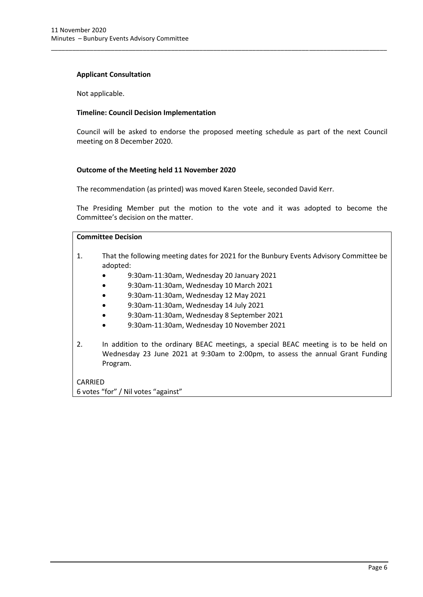#### **Applicant Consultation**

Not applicable.

#### **Timeline: Council Decision Implementation**

Council will be asked to endorse the proposed meeting schedule as part of the next Council meeting on 8 December 2020.

\_\_\_\_\_\_\_\_\_\_\_\_\_\_\_\_\_\_\_\_\_\_\_\_\_\_\_\_\_\_\_\_\_\_\_\_\_\_\_\_\_\_\_\_\_\_\_\_\_\_\_\_\_\_\_\_\_\_\_\_\_\_\_\_\_\_\_\_\_\_\_\_\_\_\_\_\_\_\_\_\_\_\_\_\_\_\_\_\_\_\_\_\_\_\_

#### **Outcome of the Meeting held 11 November 2020**

The recommendation (as printed) was moved Karen Steele, seconded David Kerr.

The Presiding Member put the motion to the vote and it was adopted to become the Committee's decision on the matter.

## **Committee Decision**

- 1. That the following meeting dates for 2021 for the Bunbury Events Advisory Committee be adopted:
	- 9:30am-11:30am, Wednesday 20 January 2021
	- 9:30am-11:30am, Wednesday 10 March 2021
	- 9:30am-11:30am, Wednesday 12 May 2021
	- 9:30am-11:30am, Wednesday 14 July 2021
	- 9:30am-11:30am, Wednesday 8 September 2021
	- 9:30am-11:30am, Wednesday 10 November 2021
- 2. In addition to the ordinary BEAC meetings, a special BEAC meeting is to be held on Wednesday 23 June 2021 at 9:30am to 2:00pm, to assess the annual Grant Funding Program.

CARRIED 6 votes "for" / Nil votes "against"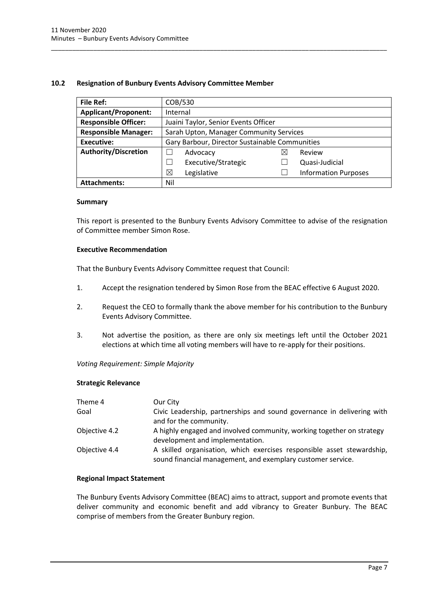### <span id="page-9-0"></span>**10.2 Resignation of Bunbury Events Advisory Committee Member**

| File Ref:                   | COB/530                                        |             |                             |
|-----------------------------|------------------------------------------------|-------------|-----------------------------|
| <b>Applicant/Proponent:</b> | Internal                                       |             |                             |
| <b>Responsible Officer:</b> | Juaini Taylor, Senior Events Officer           |             |                             |
| <b>Responsible Manager:</b> | Sarah Upton, Manager Community Services        |             |                             |
| <b>Executive:</b>           | Gary Barbour, Director Sustainable Communities |             |                             |
| <b>Authority/Discretion</b> | Advocacy                                       | $\boxtimes$ | Review                      |
|                             | Executive/Strategic                            |             | Quasi-Judicial              |
|                             | ⊠<br>Legislative                               |             | <b>Information Purposes</b> |
| <b>Attachments:</b>         | Nil                                            |             |                             |

\_\_\_\_\_\_\_\_\_\_\_\_\_\_\_\_\_\_\_\_\_\_\_\_\_\_\_\_\_\_\_\_\_\_\_\_\_\_\_\_\_\_\_\_\_\_\_\_\_\_\_\_\_\_\_\_\_\_\_\_\_\_\_\_\_\_\_\_\_\_\_\_\_\_\_\_\_\_\_\_\_\_\_\_\_\_\_\_\_\_\_\_\_\_\_

#### **Summary**

This report is presented to the Bunbury Events Advisory Committee to advise of the resignation of Committee member Simon Rose.

#### **Executive Recommendation**

That the Bunbury Events Advisory Committee request that Council:

- 1. Accept the resignation tendered by Simon Rose from the BEAC effective 6 August 2020.
- 2. Request the CEO to formally thank the above member for his contribution to the Bunbury Events Advisory Committee.
- 3. Not advertise the position, as there are only six meetings left until the October 2021 elections at which time all voting members will have to re-apply for their positions.

*Voting Requirement: Simple Majority* 

#### **Strategic Relevance**

| Theme 4       | Our City                                                                                                                              |
|---------------|---------------------------------------------------------------------------------------------------------------------------------------|
| Goal          | Civic Leadership, partnerships and sound governance in delivering with<br>and for the community.                                      |
| Objective 4.2 | A highly engaged and involved community, working together on strategy<br>development and implementation.                              |
| Objective 4.4 | A skilled organisation, which exercises responsible asset stewardship,<br>sound financial management, and exemplary customer service. |

### **Regional Impact Statement**

The Bunbury Events Advisory Committee (BEAC) aims to attract, support and promote events that deliver community and economic benefit and add vibrancy to Greater Bunbury. The BEAC comprise of members from the Greater Bunbury region.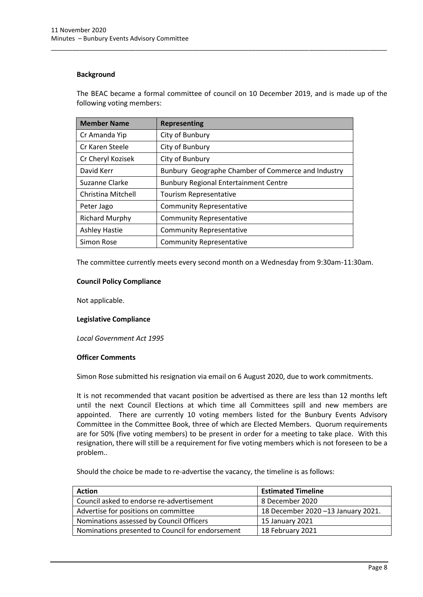### **Background**

The BEAC became a formal committee of council on 10 December 2019, and is made up of the following voting members:

\_\_\_\_\_\_\_\_\_\_\_\_\_\_\_\_\_\_\_\_\_\_\_\_\_\_\_\_\_\_\_\_\_\_\_\_\_\_\_\_\_\_\_\_\_\_\_\_\_\_\_\_\_\_\_\_\_\_\_\_\_\_\_\_\_\_\_\_\_\_\_\_\_\_\_\_\_\_\_\_\_\_\_\_\_\_\_\_\_\_\_\_\_\_\_

| <b>Member Name</b>    | <b>Representing</b>                                |
|-----------------------|----------------------------------------------------|
| Cr Amanda Yip         | City of Bunbury                                    |
| Cr Karen Steele       | City of Bunbury                                    |
| Cr Cheryl Kozisek     | City of Bunbury                                    |
| David Kerr            | Bunbury Geographe Chamber of Commerce and Industry |
| Suzanne Clarke        | <b>Bunbury Regional Entertainment Centre</b>       |
| Christina Mitchell    | Tourism Representative                             |
| Peter Jago            | <b>Community Representative</b>                    |
| <b>Richard Murphy</b> | <b>Community Representative</b>                    |
| <b>Ashley Hastie</b>  | <b>Community Representative</b>                    |
| Simon Rose            | <b>Community Representative</b>                    |

The committee currently meets every second month on a Wednesday from 9:30am-11:30am.

## **Council Policy Compliance**

Not applicable.

#### **Legislative Compliance**

*Local Government Act 1995*

#### **Officer Comments**

Simon Rose submitted his resignation via email on 6 August 2020, due to work commitments.

It is not recommended that vacant position be advertised as there are less than 12 months left until the next Council Elections at which time all Committees spill and new members are appointed. There are currently 10 voting members listed for the Bunbury Events Advisory Committee in the Committee Book, three of which are Elected Members. Quorum requirements are for 50% (five voting members) to be present in order for a meeting to take place. With this resignation, there will still be a requirement for five voting members which is not foreseen to be a problem..

Should the choice be made to re-advertise the vacancy, the timeline is as follows:

| <b>Action</b>                                    | <b>Estimated Timeline</b>          |
|--------------------------------------------------|------------------------------------|
| Council asked to endorse re-advertisement        | 8 December 2020                    |
| Advertise for positions on committee             | 18 December 2020 -13 January 2021. |
| Nominations assessed by Council Officers         | 15 January 2021                    |
| Nominations presented to Council for endorsement | 18 February 2021                   |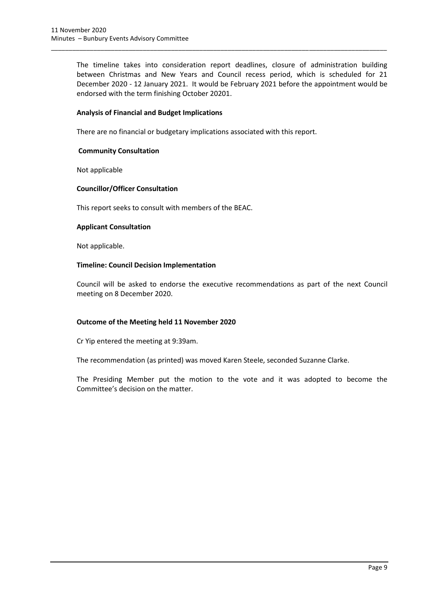The timeline takes into consideration report deadlines, closure of administration building between Christmas and New Years and Council recess period, which is scheduled for 21 December 2020 - 12 January 2021. It would be February 2021 before the appointment would be endorsed with the term finishing October 20201.

\_\_\_\_\_\_\_\_\_\_\_\_\_\_\_\_\_\_\_\_\_\_\_\_\_\_\_\_\_\_\_\_\_\_\_\_\_\_\_\_\_\_\_\_\_\_\_\_\_\_\_\_\_\_\_\_\_\_\_\_\_\_\_\_\_\_\_\_\_\_\_\_\_\_\_\_\_\_\_\_\_\_\_\_\_\_\_\_\_\_\_\_\_\_\_

### **Analysis of Financial and Budget Implications**

There are no financial or budgetary implications associated with this report.

## **Community Consultation**

Not applicable

## **Councillor/Officer Consultation**

This report seeks to consult with members of the BEAC.

#### **Applicant Consultation**

Not applicable.

## **Timeline: Council Decision Implementation**

Council will be asked to endorse the executive recommendations as part of the next Council meeting on 8 December 2020.

## **Outcome of the Meeting held 11 November 2020**

Cr Yip entered the meeting at 9:39am.

The recommendation (as printed) was moved Karen Steele, seconded Suzanne Clarke.

The Presiding Member put the motion to the vote and it was adopted to become the Committee's decision on the matter.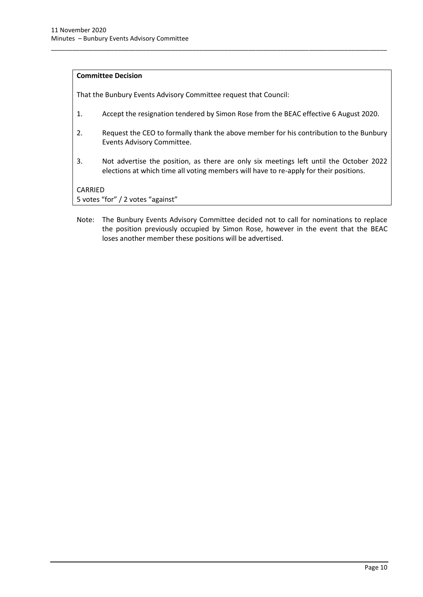#### **Committee Decision**

That the Bunbury Events Advisory Committee request that Council:

1. Accept the resignation tendered by Simon Rose from the BEAC effective 6 August 2020.

\_\_\_\_\_\_\_\_\_\_\_\_\_\_\_\_\_\_\_\_\_\_\_\_\_\_\_\_\_\_\_\_\_\_\_\_\_\_\_\_\_\_\_\_\_\_\_\_\_\_\_\_\_\_\_\_\_\_\_\_\_\_\_\_\_\_\_\_\_\_\_\_\_\_\_\_\_\_\_\_\_\_\_\_\_\_\_\_\_\_\_\_\_\_\_

- 2. Request the CEO to formally thank the above member for his contribution to the Bunbury Events Advisory Committee.
- 3. Not advertise the position, as there are only six meetings left until the October 2022 elections at which time all voting members will have to re-apply for their positions.

CARRIED

5 votes "for" / 2 votes "against"

Note: The Bunbury Events Advisory Committee decided not to call for nominations to replace the position previously occupied by Simon Rose, however in the event that the BEAC loses another member these positions will be advertised.